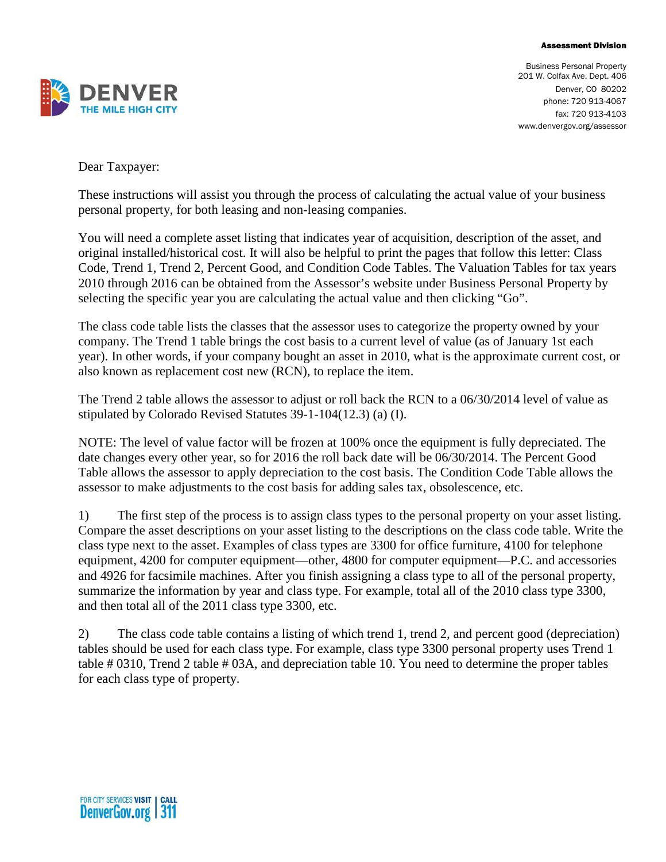#### Assessment Division



 Denver, CO 80202 Business Personal Property 201 W. Colfax Ave. Dept. 406 phone: 720 913-4067 fax: 720 913-4103 www.denvergov.org/assessor

Dear Taxpayer:

These instructions will assist you through the process of calculating the actual value of your business personal property, for both leasing and non-leasing companies.

 Code, Trend 1, Trend 2, Percent Good, and Condition Code Tables. The Valuation Tables for tax years selecting the specific year you are calculating the actual value and then clicking "Go". You will need a complete asset listing that indicates year of acquisition, description of the asset, and original installed/historical cost. It will also be helpful to print the pages that follow this letter: Class 2010 through 2016 can be obtained from the Assessor's website under Business Personal Property by

 The class code table lists the classes that the assessor uses to categorize the property owned by your year). In other words, if your company bought an asset in 2010, what is the approximate current cost, or company. The Trend 1 table brings the cost basis to a current level of value (as of January 1st each also known as replacement cost new (RCN), to replace the item.

 stipulated by Colorado Revised Statutes 39-1-104(12.3) (a) (I). The Trend 2 table allows the assessor to adjust or roll back the RCN to a 06/30/2014 level of value as

 date changes every other year, so for 2016 the roll back date will be 06/30/2014. The Percent Good NOTE: The level of value factor will be frozen at 100% once the equipment is fully depreciated. The Table allows the assessor to apply depreciation to the cost basis. The Condition Code Table allows the assessor to make adjustments to the cost basis for adding sales tax, obsolescence, etc.

1) The first step of the process is to assign class types to the personal property on your asset listing. Compare the asset descriptions on your asset listing to the descriptions on the class code table. Write the class type next to the asset. Examples of class types are 3300 for office furniture, 4100 for telephone equipment, 4200 for computer equipment—other, 4800 for computer equipment—P.C. and accessories and 4926 for facsimile machines. After you finish assigning a class type to all of the personal property, summarize the information by year and class type. For example, total all of the 2010 class type 3300, and then total all of the 2011 class type 3300, etc.

2) The class code table contains a listing of which trend 1, trend 2, and percent good (depreciation) tables should be used for each class type. For example, class type 3300 personal property uses Trend 1 table # 0310, Trend 2 table # 03A, and depreciation table 10. You need to determine the proper tables for each class type of property.

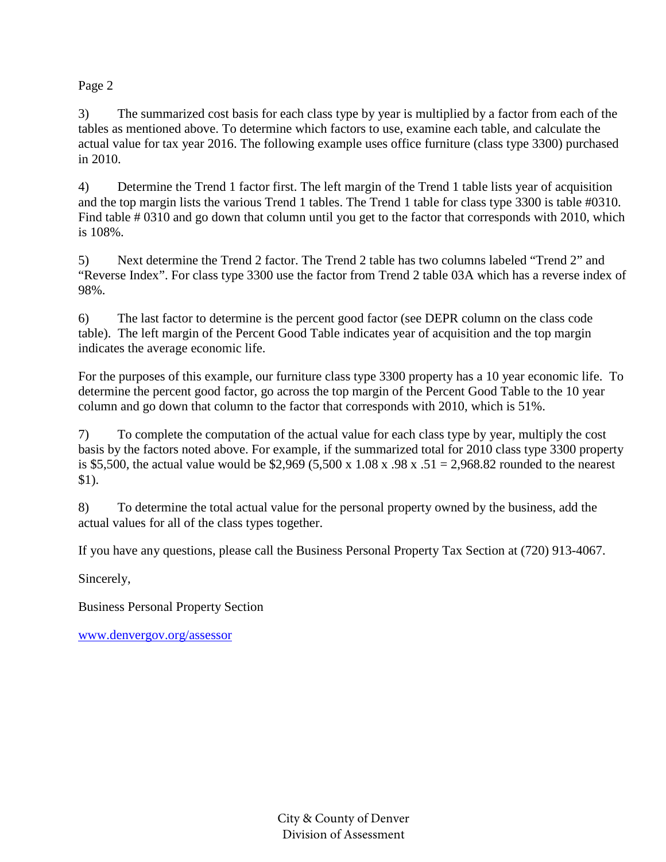Page 2

 3) The summarized cost basis for each class type by year is multiplied by a factor from each of the actual value for tax year 2016. The following example uses office furniture (class type 3300) purchased tables as mentioned above. To determine which factors to use, examine each table, and calculate the in 2010.

 4) Determine the Trend 1 factor first. The left margin of the Trend 1 table lists year of acquisition and the top margin lists the various Trend 1 tables. The Trend 1 table for class type 3300 is table #0310. Find table # 0310 and go down that column until you get to the factor that corresponds with 2010, which is 108%.

5) Next determine the Trend 2 factor. The Trend 2 table has two columns labeled "Trend 2" and "Reverse Index". For class type 3300 use the factor from Trend 2 table 03A which has a reverse index of 98%.

6) The last factor to determine is the percent good factor (see DEPR column on the class code table). The left margin of the Percent Good Table indicates year of acquisition and the top margin indicates the average economic life.

For the purposes of this example, our furniture class type 3300 property has a 10 year economic life. To determine the percent good factor, go across the top margin of the Percent Good Table to the 10 year column and go down that column to the factor that corresponds with 2010, which is 51%.

7) To complete the computation of the actual value for each class type by year, multiply the cost basis by the factors noted above. For example, if the summarized total for 2010 class type 3300 property is \$5,500, the actual value would be \$2,969 (5,500 x 1.08 x .98 x .51 = 2,968.82 rounded to the nearest \$1).

8) To determine the total actual value for the personal property owned by the business, add the actual values for all of the class types together.

If you have any questions, please call the Business Personal Property Tax Section at (720) 913-4067.

Sincerely,

Business Personal Property Section

[www.denvergov.org/assessor](http://www.denvergov.org/assessor)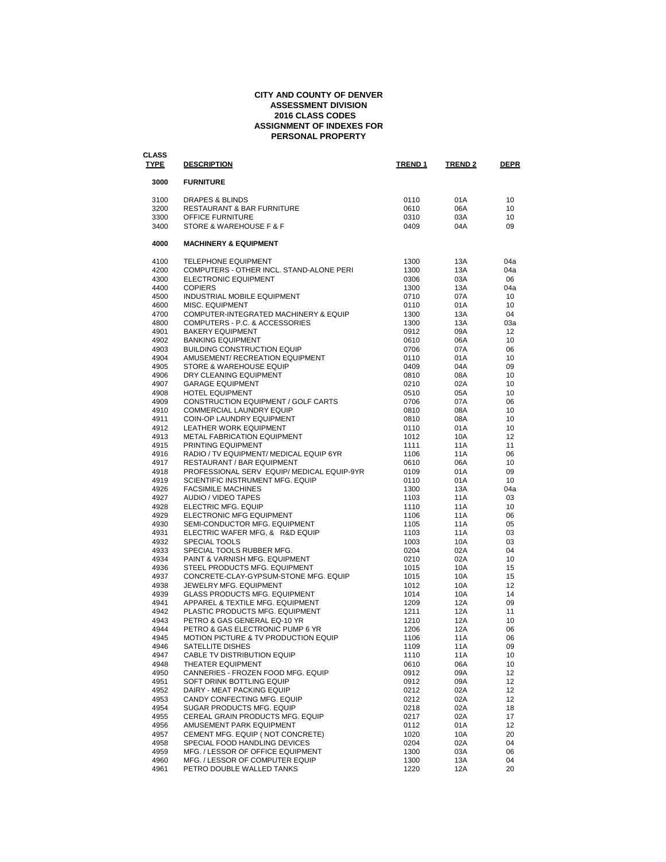#### **CITY AND COUNTY OF DENVER ASSESSMENT DIVISION 2016 CLASS CODES ASSIGNMENT OF INDEXES FOR PERSONAL PROPERTY**

| <b>CLASS</b><br><b>TYPE</b> | <b>DESCRIPTION</b>                                              | TREND <sub>1</sub> | <b>TREND2</b> | <b>DEPR</b> |
|-----------------------------|-----------------------------------------------------------------|--------------------|---------------|-------------|
| 3000                        | <b>FURNITURE</b>                                                |                    |               |             |
| 3100                        | <b>DRAPES &amp; BLINDS</b>                                      | 0110               | 01A           | 10          |
| 3200                        | <b>RESTAURANT &amp; BAR FURNITURE</b>                           | 0610               | 06A           | 10          |
| 3300                        | OFFICE FURNITURE                                                | 0310               | 03A           | 10          |
| 3400                        | STORE & WAREHOUSE F & F                                         | 0409               | 04A           | 09          |
| 4000                        | <b>MACHINERY &amp; EQUIPMENT</b>                                |                    |               |             |
| 4100                        | <b>TELEPHONE EQUIPMENT</b>                                      | 1300               | 13A           | 04a         |
| 4200                        | COMPUTERS - OTHER INCL. STAND-ALONE PERI                        | 1300               | 13A           | 04a         |
| 4300                        | ELECTRONIC EQUIPMENT                                            | 0306               | 03A           | 06          |
| 4400                        | <b>COPIERS</b>                                                  | 1300               | 13A           | 04a         |
| 4500                        | <b>INDUSTRIAL MOBILE EQUIPMENT</b><br>MISC. EQUIPMENT           | 0710               | 07A           | 10          |
| 4600<br>4700                | COMPUTER-INTEGRATED MACHINERY & EQUIP                           | 0110<br>1300       | 01A<br>13A    | 10<br>04    |
| 4800                        | COMPUTERS - P.C. & ACCESSORIES                                  | 1300               | 13A           | 03a         |
| 4901                        | <b>BAKERY EQUIPMENT</b>                                         | 0912               | 09A           | 12          |
| 4902                        | <b>BANKING EQUIPMENT</b>                                        | 0610               | 06A           | 10          |
| 4903                        | <b>BUILDING CONSTRUCTION EQUIP</b>                              | 0706               | 07A           | 06          |
| 4904                        | AMUSEMENT/ RECREATION EQUIPMENT                                 | 0110               | 01A           | 10          |
| 4905                        | <b>STORE &amp; WAREHOUSE EQUIP</b>                              | 0409               | 04A           | 09          |
| 4906                        | DRY CLEANING EQUIPMENT                                          | 0810               | 08A           | 10          |
| 4907                        | <b>GARAGE EQUIPMENT</b>                                         | 0210               | 02A           | 10          |
| 4908                        | <b>HOTEL EQUIPMENT</b>                                          | 0510               | 05A           | 10          |
| 4909                        | CONSTRUCTION EQUIPMENT / GOLF CARTS                             | 0706               | 07A           | 06          |
| 4910                        | <b>COMMERCIAL LAUNDRY EQUIP</b>                                 | 0810               | 08A           | 10<br>10    |
| 4911<br>4912                | COIN-OP LAUNDRY EQUIPMENT<br><b>LEATHER WORK EQUIPMENT</b>      | 0810<br>0110       | 08A<br>01A    | 10          |
| 4913                        | <b>METAL FABRICATION EQUIPMENT</b>                              | 1012               | 10A           | 12          |
| 4915                        | PRINTING EQUIPMENT                                              | 1111               | 11A           | 11          |
| 4916                        | RADIO / TV EQUIPMENT/ MEDICAL EQUIP 6YR                         | 1106               | 11A           | 06          |
| 4917                        | RESTAURANT / BAR EQUIPMENT                                      | 0610               | 06A           | 10          |
| 4918                        | PROFESSIONAL SERV EQUIP/ MEDICAL EQUIP-9YR                      | 0109               | 01A           | 09          |
| 4919                        | SCIENTIFIC INSTRUMENT MFG. EQUIP                                | 0110               | 01A           | 10          |
| 4926                        | <b>FACSIMILE MACHINES</b>                                       | 1300               | 13A           | 04a         |
| 4927                        | AUDIO / VIDEO TAPES                                             | 1103               | 11A           | 03          |
| 4928                        | <b>ELECTRIC MFG. EQUIP</b>                                      | 1110               | 11A           | 10          |
| 4929<br>4930                | ELECTRONIC MFG EQUIPMENT<br>SEMI-CONDUCTOR MFG. EQUIPMENT       | 1106<br>1105       | 11A<br>11A    | 06<br>05    |
| 4931                        | ELECTRIC WAFER MFG, & R&D EQUIP                                 | 1103               | 11A           | 03          |
| 4932                        | <b>SPECIAL TOOLS</b>                                            | 1003               | 10A           | 03          |
| 4933                        | SPECIAL TOOLS RUBBER MFG.                                       | 0204               | 02A           | 04          |
| 4934                        | PAINT & VARNISH MFG. EQUIPMENT                                  | 0210               | 02A           | 10          |
| 4936                        | STEEL PRODUCTS MFG. EQUIPMENT                                   | 1015               | 10A           | 15          |
| 4937                        | CONCRETE-CLAY-GYPSUM-STONE MFG. EQUIP                           | 1015               | 10A           | 15          |
| 4938                        | JEWELRY MFG. EQUIPMENT                                          | 1012               | 10A           | 12          |
| 4939                        | <b>GLASS PRODUCTS MFG. EQUIPMENT</b>                            | 1014               | 10A           | 14          |
| 4941                        | APPAREL & TEXTILE MFG. EQUIPMENT                                | 1209               | 12A           | 09          |
| 4942                        | PLASTIC PRODUCTS MFG. EQUIPMENT<br>PETRO & GAS GENERAL EQ-10 YR | 1211               | 12A           | 11          |
| 4943<br>4944                | PETRO & GAS ELECTRONIC PUMP 6 YR                                | 1210<br>1206       | 12A<br>12A    | 10<br>06    |
| 4945                        | <b>MOTION PICTURE &amp; TV PRODUCTION EQUIP</b>                 | 1106               | 11 A          | 06          |
| 4946                        | SATELLITE DISHES                                                | 1109               | 11A           | 09          |
| 4947                        | CABLE TV DISTRIBUTION EQUIP                                     | 1110               | 11A           | 10          |
| 4948                        | THEATER EQUIPMENT                                               | 0610               | 06A           | 10          |
| 4950                        | CANNERIES - FROZEN FOOD MFG. EQUIP                              | 0912               | 09A           | 12          |
| 4951                        | SOFT DRINK BOTTLING EQUIP                                       | 0912               | 09A           | 12          |
| 4952                        | DAIRY - MEAT PACKING EQUIP                                      | 0212               | 02A           | 12          |
| 4953                        | CANDY CONFECTING MFG. EQUIP                                     | 0212               | 02A           | 12          |
| 4954                        | SUGAR PRODUCTS MFG. EQUIP                                       | 0218               | 02A           | 18          |
| 4955                        | CEREAL GRAIN PRODUCTS MFG. EQUIP                                | 0217               | 02A           | 17          |
| 4956<br>4957                | AMUSEMENT PARK EQUIPMENT<br>CEMENT MFG. EQUIP (NOT CONCRETE)    | 0112<br>1020       | 01A<br>10A    | 12<br>20    |
| 4958                        | SPECIAL FOOD HANDLING DEVICES                                   | 0204               | 02A           | 04          |
| 4959                        | MFG. / LESSOR OF OFFICE EQUIPMENT                               | 1300               | 03A           | 06          |
| 4960                        | MFG. / LESSOR OF COMPUTER EQUIP                                 | 1300               | 13A           | 04          |
| 4961                        | PETRO DOUBLE WALLED TANKS                                       | 1220               | 12A           | 20          |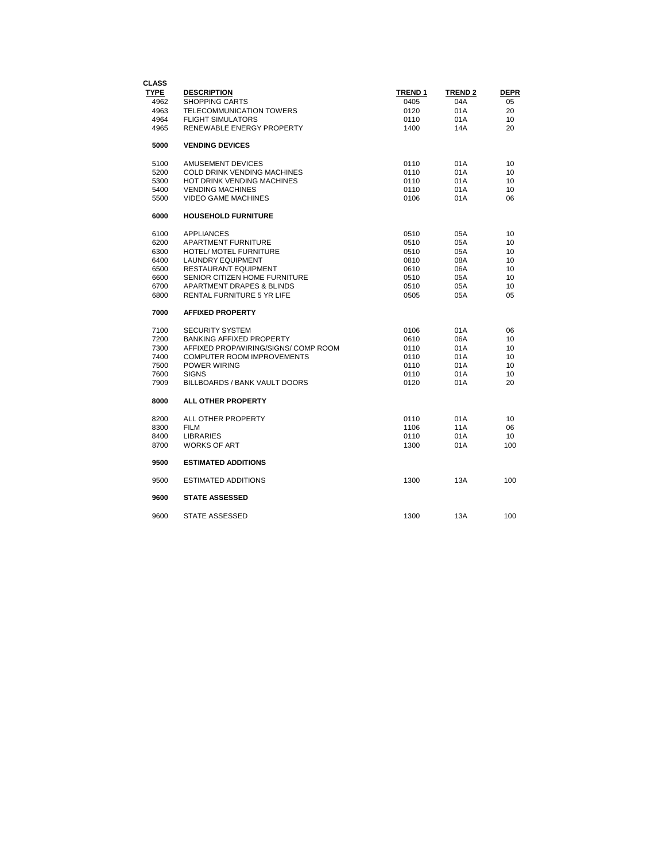| CLASS       |                                      |                |                |             |
|-------------|--------------------------------------|----------------|----------------|-------------|
| <b>TYPE</b> | <b>DESCRIPTION</b>                   | <b>TREND 1</b> | <b>TREND 2</b> | <b>DEPR</b> |
| 4962        | <b>SHOPPING CARTS</b>                | 0405           | 04A            | 05          |
| 4963        | TELECOMMUNICATION TOWERS             | 0120           | 01A            | 20          |
| 4964        | <b>FLIGHT SIMULATORS</b>             | 0110           | 01A            | 10          |
| 4965        | RENEWABLE ENERGY PROPERTY            | 1400           | 14A            | 20          |
|             |                                      |                |                |             |
| 5000        | <b>VENDING DEVICES</b>               |                |                |             |
| 5100        | AMUSEMENT DEVICES                    | 0110           | 01A            | 10          |
| 5200        | <b>COLD DRINK VENDING MACHINES</b>   | 0110           | 01A            | 10          |
| 5300        | HOT DRINK VENDING MACHINES           | 0110           | 01A            | 10          |
| 5400        | <b>VENDING MACHINES</b>              | 0110           | 01A            | 10          |
| 5500        | <b>VIDEO GAME MACHINES</b>           | 0106           | 01A            | 06          |
| 6000        | <b>HOUSEHOLD FURNITURE</b>           |                |                |             |
| 6100        | <b>APPLIANCES</b>                    | 0510           | 05A            | 10          |
| 6200        | <b>APARTMENT FURNITURE</b>           | 0510           | 05A            | 10          |
| 6300        | HOTEL/ MOTEL FURNITURE               | 0510           | 05A            | 10          |
| 6400        | <b>LAUNDRY EQUIPMENT</b>             | 0810           | 08A            | 10          |
| 6500        | RESTAURANT EQUIPMENT                 | 0610           | 06A            | 10          |
| 6600        | SENIOR CITIZEN HOME FURNITURE        | 0510           | 05A            | 10          |
| 6700        | <b>APARTMENT DRAPES &amp; BLINDS</b> | 0510           | 05A            | 10          |
| 6800        | <b>RENTAL FURNITURE 5 YR LIFE</b>    | 0505           | 05A            | 05          |
| 7000        | <b>AFFIXED PROPERTY</b>              |                |                |             |
| 7100        | <b>SECURITY SYSTEM</b>               | 0106           | 01A            | 06          |
| 7200        | <b>BANKING AFFIXED PROPERTY</b>      | 0610           | 06A            | 10          |
| 7300        | AFFIXED PROP/WIRING/SIGNS/ COMP ROOM | 0110           | 01A            | 10          |
|             |                                      |                |                |             |
| 7400        | COMPUTER ROOM IMPROVEMENTS           | 0110           | 01A            | 10          |
| 7500        | <b>POWER WIRING</b>                  | 0110           | 01A            | 10          |
| 7600        | <b>SIGNS</b>                         | 0110           | 01A            | 10          |
| 7909        | BILLBOARDS / BANK VAULT DOORS        | 0120           | 01A            | 20          |
| 8000        | <b>ALL OTHER PROPERTY</b>            |                |                |             |
| 8200        | ALL OTHER PROPERTY                   | 0110           | 01A            | 10          |
| 8300        | <b>FILM</b>                          | 1106           | 11A            | 06          |
| 8400        | <b>LIBRARIES</b>                     | 0110           | 01A            | 10          |
| 8700        | <b>WORKS OF ART</b>                  | 1300           | 01A            | 100         |
| 9500        | <b>ESTIMATED ADDITIONS</b>           |                |                |             |
| 9500        | <b>ESTIMATED ADDITIONS</b>           | 1300           | 13A            | 100         |
| 9600        | <b>STATE ASSESSED</b>                |                |                |             |
| 9600        | STATE ASSESSED                       | 1300           | 13A            | 100         |
|             |                                      |                |                |             |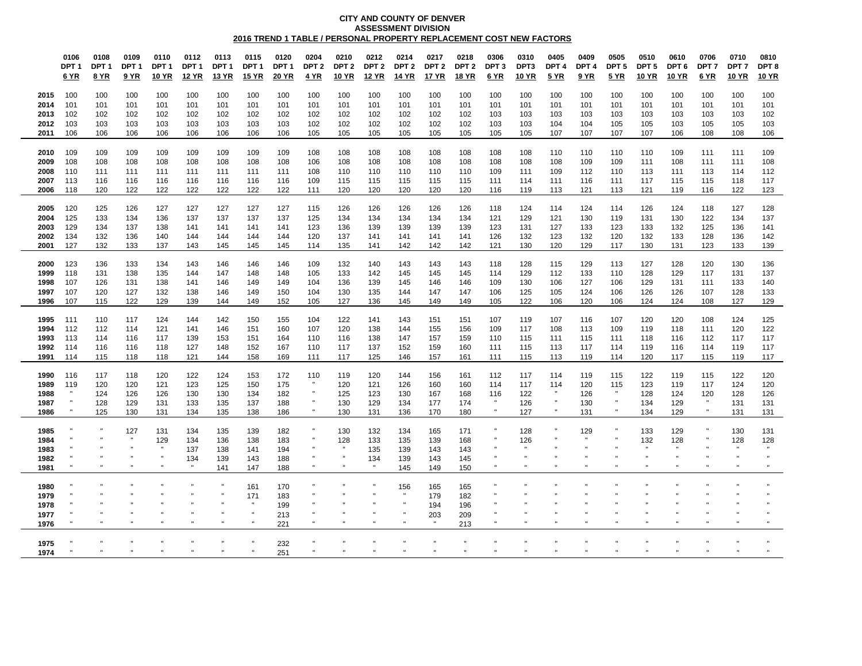#### **CITY AND COUNTY OF DENVER ASSESSMENT DIVISION 2016 TREND 1 TABLE / PERSONAL PROPERTY REPLACEMENT COST NEW FACTORS**

|              | 0106<br>DPT <sub>1</sub><br>6 YR | 0108<br>DPT <sub>1</sub><br>8 YR | 0109<br>DPT <sub>1</sub><br>9 YR | 0110<br>DPT <sub>1</sub><br><b>10 YR</b> | 0112<br>DPT <sub>1</sub><br><b>12 YR</b> | 0113<br>DPT <sub>1</sub><br><b>13 YR</b> | 0115<br>DPT <sub>1</sub><br><b>15 YR</b> | 0120<br>DPT <sub>1</sub><br><b>20 YR</b> | 0204<br>DPT <sub>2</sub><br>4 YR | 0210<br>DPT <sub>2</sub><br><b>10 YR</b> | 0212<br>DPT <sub>2</sub><br><b>12 YR</b> | 0214<br>DPT <sub>2</sub><br><b>14 YR</b> | 0217<br>DPT <sub>2</sub><br><b>17 YR</b> | 0218<br>DPT <sub>2</sub><br><b>18 YR</b> | 0306<br>DPT <sub>3</sub><br>6 YR | 0310<br>DPT3<br><b>10 YR</b> | 0405<br>DPT <sub>4</sub><br>5 YR | 0409<br>DPT <sub>4</sub><br>9 YR | 0505<br>DPT <sub>5</sub><br>5 YR | 0510<br>DPT <sub>5</sub><br>10 YR | 0610<br>DPT <sub>6</sub><br><b>10 YR</b> | 0706<br>DPT <sub>7</sub><br>6 YR | 0710<br>DPT <sub>7</sub><br><b>10 YR</b> | 0810<br>DPT <sub>8</sub><br>10 YR |
|--------------|----------------------------------|----------------------------------|----------------------------------|------------------------------------------|------------------------------------------|------------------------------------------|------------------------------------------|------------------------------------------|----------------------------------|------------------------------------------|------------------------------------------|------------------------------------------|------------------------------------------|------------------------------------------|----------------------------------|------------------------------|----------------------------------|----------------------------------|----------------------------------|-----------------------------------|------------------------------------------|----------------------------------|------------------------------------------|-----------------------------------|
| 2015         | 100                              | 100                              | 100                              | 100                                      | 100                                      | 100                                      | 100                                      | 100                                      | 100                              | 100                                      | 100                                      | 100                                      | 100                                      | 100                                      | 100                              | 100                          | 100                              | 100                              | 100                              | 100                               | 100                                      | 100                              | 100                                      | 100                               |
| 2014<br>2013 | 101<br>102                       | 101<br>102                       | 101<br>102                       | 101<br>102                               | 101<br>102                               | 101<br>102                               | 101<br>102                               | 101<br>102                               | 101<br>102                       | 101<br>102                               | 101<br>102                               | 101<br>102                               | 101<br>102                               | 101<br>102                               | 101<br>103                       | 101<br>103                   | 101<br>103                       | 101<br>103                       | 101<br>103                       | 101<br>103                        | 101<br>103                               | 101<br>103                       | 101<br>103                               | 101<br>102                        |
| 2012         | 103                              | 103                              | 103                              | 103                                      | 103                                      | 103                                      | 103                                      | 103                                      | 102                              | 102                                      | 102                                      | 102                                      | 102                                      | 102                                      | 103                              | 103                          | 104                              | 104                              | 105                              | 105                               | 103                                      | 105                              | 105                                      | 103                               |
| 2011         | 106                              | 106                              | 106                              | 106                                      | 106                                      | 106                                      | 106                                      | 106                                      | 105                              | 105                                      | 105                                      | 105                                      | 105                                      | 105                                      | 105                              | 105                          | 107                              | 107                              | 107                              | 107                               | 106                                      | 108                              | 108                                      | 106                               |
| 2010         | 109                              | 109                              | 109                              | 109                                      | 109                                      | 109                                      | 109                                      | 109                                      | 108                              | 108                                      | 108                                      | 108                                      | 108                                      | 108                                      | 108                              | 108                          | 110                              | 110                              | 110                              | 110                               | 109                                      | 111                              | 111                                      | 109                               |
| 2009         | 108                              | 108                              | 108                              | 108                                      | 108                                      | 108                                      | 108                                      | 108                                      | 106                              | 108                                      | 108                                      | 108                                      | 108                                      | 108                                      | 108                              | 108                          | 108                              | 109                              | 109                              | 111                               | 108                                      | 111                              | 111                                      | 108                               |
| 2008         | 110                              | 111                              | 111                              | 111                                      | 111                                      | 111                                      | 111                                      | 111                                      | 108                              | 110                                      | 110                                      | 110                                      | 110                                      | 110                                      | 109                              | 111                          | 109                              | 112                              | 110                              | 113                               | 111                                      | 113                              | 114                                      | 112                               |
| 2007<br>2006 | 113<br>118                       | 116<br>120                       | 116<br>122                       | 116<br>122                               | 116<br>122                               | 116<br>122                               | 116<br>122                               | 116<br>122                               | 109<br>111                       | 115<br>120                               | 115<br>120                               | 115<br>120                               | 115<br>120                               | 115<br>120                               | 111<br>116                       | 114<br>119                   | 111<br>113                       | 116<br>121                       | 111<br>113                       | 117<br>121                        | 115<br>119                               | 115<br>116                       | 118<br>122                               | 117<br>123                        |
|              |                                  |                                  |                                  |                                          |                                          |                                          |                                          |                                          |                                  |                                          |                                          |                                          |                                          |                                          |                                  |                              |                                  |                                  |                                  |                                   |                                          |                                  |                                          |                                   |
| 2005         | 120                              | 125                              | 126                              | 127                                      | 127                                      | 127                                      | 127                                      | 127                                      | 115                              | 126                                      | 126                                      | 126                                      | 126                                      | 126                                      | 118                              | 124                          | 114                              | 124                              | 114                              | 126                               | 124                                      | 118                              | 127                                      | 128                               |
| 2004<br>2003 | 125<br>129                       | 133<br>134                       | 134<br>137                       | 136<br>138                               | 137<br>141                               | 137<br>141                               | 137<br>141                               | 137<br>141                               | 125<br>123                       | 134<br>136                               | 134<br>139                               | 134<br>139                               | 134<br>139                               | 134<br>139                               | 121<br>123                       | 129<br>131                   | 121<br>127                       | 130<br>133                       | 119<br>123                       | 131<br>133                        | 130<br>132                               | 122<br>125                       | 134<br>136                               | 137<br>141                        |
| 2002         | 134                              | 132                              | 136                              | 140                                      | 144                                      | 144                                      | 144                                      | 144                                      | 120                              | 137                                      | 141                                      | 141                                      | 141                                      | 141                                      | 126                              | 132                          | 123                              | 132                              | 120                              | 132                               | 133                                      | 128                              | 136                                      | 142                               |
| 2001         | 127                              | 132                              | 133                              | 137                                      | 143                                      | 145                                      | 145                                      | 145                                      | 114                              | 135                                      | 141                                      | 142                                      | 142                                      | 142                                      | 121                              | 130                          | 120                              | 129                              | 117                              | 130                               | 131                                      | 123                              | 133                                      | 139                               |
| 2000         | 123                              | 136                              | 133                              | 134                                      | 143                                      | 146                                      | 146                                      | 146                                      | 109                              | 132                                      | 140                                      | 143                                      | 143                                      | 143                                      | 118                              | 128                          | 115                              | 129                              | 113                              | 127                               | 128                                      | 120                              | 130                                      | 136                               |
| 1999         | 118                              | 131                              | 138                              | 135                                      | 144                                      | 147                                      | 148                                      | 148                                      | 105                              | 133                                      | 142                                      | 145                                      | 145                                      | 145                                      | 114                              | 129                          | 112                              | 133                              | 110                              | 128                               | 129                                      | 117                              | 131                                      | 137                               |
| 1998         | 107                              | 126                              | 131                              | 138                                      | 141                                      | 146                                      | 149                                      | 149                                      | 104                              | 136                                      | 139                                      | 145                                      | 146                                      | 146                                      | 109                              | 130                          | 106                              | 127                              | 106                              | 129                               | 131                                      | 111                              | 133                                      | 140                               |
| 1997<br>1996 | 107<br>107                       | 120<br>115                       | 127<br>122                       | 132<br>129                               | 138<br>139                               | 146<br>144                               | 149<br>149                               | 150<br>152                               | 104<br>105                       | 130<br>127                               | 135<br>136                               | 144<br>145                               | 147<br>149                               | 147<br>149                               | 106<br>105                       | 125<br>122                   | 105<br>106                       | 124<br>120                       | 106<br>106                       | 126<br>124                        | 126<br>124                               | 107<br>108                       | 128<br>127                               | 133<br>129                        |
|              |                                  |                                  |                                  |                                          |                                          |                                          |                                          |                                          |                                  |                                          |                                          |                                          |                                          |                                          |                                  |                              |                                  |                                  |                                  |                                   |                                          |                                  |                                          |                                   |
| 1995<br>1994 | 111<br>112                       | 110<br>112                       | 117<br>114                       | 124<br>121                               | 144<br>141                               | 142<br>146                               | 150<br>151                               | 155<br>160                               | 104<br>107                       | 122<br>120                               | 141<br>138                               | 143<br>144                               | 151<br>155                               | 151<br>156                               | 107<br>109                       | 119<br>117                   | 107<br>108                       | 116<br>113                       | 107<br>109                       | 120<br>119                        | 120<br>118                               | 108<br>111                       | 124<br>120                               | 125<br>122                        |
| 1993         | 113                              | 114                              | 116                              | 117                                      | 139                                      | 153                                      | 151                                      | 164                                      | 110                              | 116                                      | 138                                      | 147                                      | 157                                      | 159                                      | 110                              | 115                          | 111                              | 115                              | 111                              | 118                               | 116                                      | 112                              | 117                                      | 117                               |
| 1992         | 114                              | 116                              | 116                              | 118                                      | 127                                      | 148                                      | 152                                      | 167                                      | 110                              | 117                                      | 137                                      | 152                                      | 159                                      | 160                                      | 111                              | 115                          | 113                              | 117                              | 114                              | 119                               | 116                                      | 114                              | 119                                      | 117                               |
| 1991         | 114                              | 115                              | 118                              | 118                                      | 121                                      | 144                                      | 158                                      | 169                                      | 111                              | 117                                      | 125                                      | 146                                      | 157                                      | 161                                      | 111                              | 115                          | 113                              | 119                              | 114                              | 120                               | 117                                      | 115                              | 119                                      | 117                               |
| 1990         | 116                              | 117                              | 118                              | 120                                      | 122                                      | 124                                      | 153                                      | 172                                      | 110                              | 119                                      | 120                                      | 144                                      | 156                                      | 161                                      | 112                              | 117                          | 114                              | 119                              | 115                              | 122                               | 119                                      | 115                              | 122                                      | 120                               |
| 1989         | 119                              | 120                              | 120                              | 121                                      | 123                                      | 125                                      | 150                                      | 175                                      |                                  | 120                                      | 121                                      | 126                                      | 160                                      | 160                                      | 114                              | 117                          | 114                              | 120                              | 115                              | 123                               | 119                                      | 117                              | 124                                      | 120                               |
| 1988<br>1987 |                                  | 124<br>128                       | 126<br>129                       | 126                                      | 130<br>133                               | 130                                      | 134<br>137                               | 182<br>188                               |                                  | 125<br>130                               | 123<br>129                               | 130<br>134                               | 167<br>177                               | 168<br>174                               | 116<br>$\mathbf{u}$              | 122<br>126                   | $\blacksquare$<br>$\mathbf{u}$   | 126<br>130                       | <b>H</b><br>$\mathbf{u}$         | 128<br>134                        | 124<br>129                               | 120                              | 128<br>131                               | 126<br>131                        |
| 1986         |                                  | 125                              | 130                              | 131<br>131                               | 134                                      | 135<br>135                               | 138                                      | 186                                      |                                  | 130                                      | 131                                      | 136                                      | 170                                      | 180                                      | $\,$ H                           | 127                          | $\mathbf{u}$                     | 131                              | $\mathbf{u}$                     | 134                               | 129                                      | $\mathbf{u}$                     | 131                                      | 131                               |
|              |                                  |                                  |                                  |                                          |                                          |                                          |                                          |                                          |                                  |                                          |                                          |                                          |                                          |                                          |                                  |                              |                                  |                                  |                                  |                                   |                                          |                                  |                                          |                                   |
| 1985<br>1984 |                                  |                                  | 127                              | 131<br>129                               | 134<br>134                               | 135<br>136                               | 139<br>138                               | 182<br>183                               |                                  | 130<br>128                               | 132<br>133                               | 134<br>135                               | 165<br>139                               | 171<br>168                               | $\mathbf{u}$                     | 128<br>126                   |                                  | 129                              |                                  | 133<br>132                        | 129<br>128                               |                                  | 130<br>128                               | 131<br>128                        |
| 1983         |                                  |                                  |                                  |                                          | 137                                      | 138                                      | 141                                      | 194                                      |                                  |                                          | 135                                      | 139                                      | 143                                      | 143                                      |                                  |                              |                                  |                                  |                                  |                                   |                                          |                                  |                                          |                                   |
| 1982         |                                  |                                  |                                  |                                          | 134                                      | 139                                      | 143                                      | 188                                      |                                  |                                          | 134                                      | 139                                      | 143                                      | 145                                      |                                  |                              |                                  |                                  |                                  |                                   |                                          |                                  |                                          |                                   |
| 1981         |                                  |                                  |                                  |                                          |                                          | 141                                      | 147                                      | 188                                      |                                  |                                          |                                          | 145                                      | 149                                      | 150                                      |                                  |                              |                                  |                                  |                                  |                                   |                                          |                                  |                                          |                                   |
| 1980         |                                  |                                  |                                  |                                          |                                          |                                          | 161                                      | 170                                      |                                  |                                          |                                          | 156                                      | 165                                      | 165                                      |                                  |                              |                                  |                                  |                                  |                                   |                                          |                                  |                                          |                                   |
| 1979         |                                  |                                  |                                  |                                          |                                          |                                          | 171                                      | 183                                      |                                  |                                          |                                          |                                          | 179                                      | 182                                      |                                  |                              |                                  |                                  |                                  |                                   |                                          |                                  |                                          |                                   |
| 1978         |                                  |                                  |                                  |                                          |                                          |                                          |                                          | 199                                      |                                  |                                          |                                          |                                          | 194                                      | 196                                      |                                  |                              |                                  |                                  |                                  |                                   |                                          |                                  |                                          |                                   |
| 1977<br>1976 |                                  |                                  |                                  |                                          |                                          |                                          |                                          | 213<br>221                               |                                  |                                          |                                          |                                          | 203<br>$\mathbf{u}$                      | 209<br>213                               |                                  |                              |                                  |                                  |                                  |                                   |                                          |                                  |                                          |                                   |
|              |                                  |                                  |                                  |                                          |                                          |                                          |                                          |                                          |                                  |                                          |                                          |                                          |                                          |                                          |                                  |                              |                                  |                                  |                                  |                                   |                                          |                                  |                                          |                                   |
| 1975         |                                  |                                  |                                  |                                          |                                          |                                          |                                          | 232                                      |                                  |                                          |                                          |                                          |                                          |                                          |                                  |                              |                                  |                                  |                                  |                                   |                                          |                                  |                                          |                                   |
| 1974         |                                  |                                  |                                  |                                          |                                          |                                          |                                          | 251                                      |                                  |                                          |                                          |                                          |                                          |                                          |                                  |                              |                                  |                                  |                                  |                                   |                                          |                                  |                                          |                                   |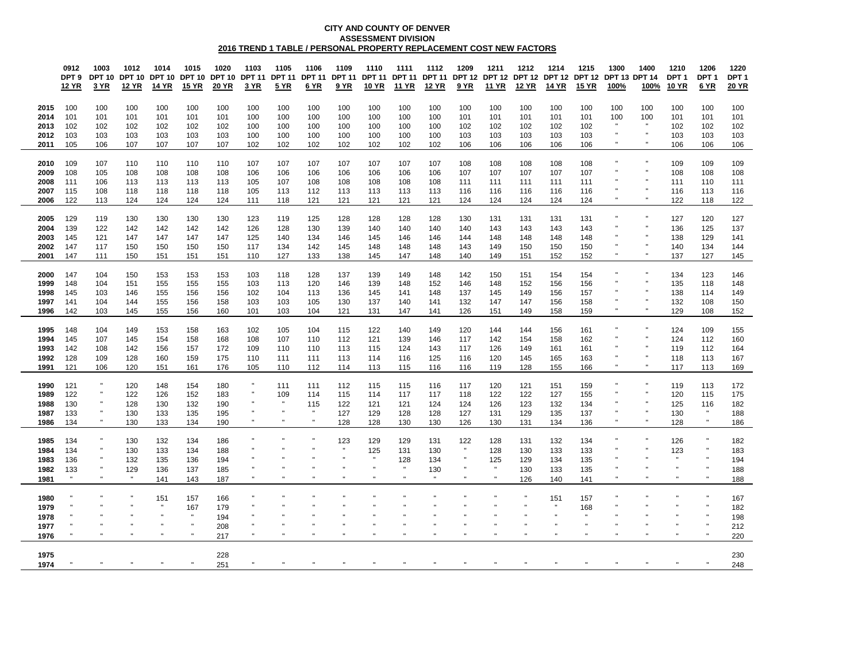#### **CITY AND COUNTY OF DENVER ASSESSMENT DIVISION 2016 TREND 1 TABLE / PERSONAL PROPERTY REPLACEMENT COST NEW FACTORS**

|              | 0912<br>DPT <sub>9</sub><br>12 YR | 1003<br><b>DPT 10</b><br>3 YR | 1012<br><b>DPT 10</b><br>12 YR | 1014<br><b>DPT 10</b><br>14 YR | 1015<br><b>DPT 10</b><br><b>15 YR</b> | 1020<br><b>DPT 10</b><br>20 YR | 1103<br><b>DPT 11</b><br>3 YR | 1105<br><b>DPT 11</b><br><u>5 YR</u> | 1106<br><b>DPT 11</b><br>6 YR | 1109<br><b>DPT 11</b><br>9 YR | 1110<br><b>DPT 11</b><br>10 YR | 1111<br><b>DPT 11</b><br><b>11 YR</b> | 1112<br><b>DPT 11</b><br>12 YR | 1209<br><b>DPT 12</b><br>9 YR | 1211<br><b>DPT 12</b><br>11 YR | 1212<br><b>DPT 12</b><br><b>12 YR</b> | 1214<br><b>DPT 12</b><br>14 YR | 1215<br><b>DPT 12</b><br><b>15 YR</b> | 1300<br>DPT 13 DPT 14<br>100% | 1400<br>100% | 1210<br>DPT <sub>1</sub><br><b>10 YR</b> | 1206<br>DPT <sub>1</sub><br><u>6 YR</u> | 1220<br>DPT <sub>1</sub><br>20 YR |
|--------------|-----------------------------------|-------------------------------|--------------------------------|--------------------------------|---------------------------------------|--------------------------------|-------------------------------|--------------------------------------|-------------------------------|-------------------------------|--------------------------------|---------------------------------------|--------------------------------|-------------------------------|--------------------------------|---------------------------------------|--------------------------------|---------------------------------------|-------------------------------|--------------|------------------------------------------|-----------------------------------------|-----------------------------------|
| 2015         | 100                               | 100                           | 100                            | 100                            | 100                                   | 100                            | 100                           | 100                                  | 100                           | 100                           | 100                            | 100                                   | 100                            | 100                           | 100                            | 100                                   | 100                            | 100                                   | 100                           | 100          | 100                                      | 100                                     | 100                               |
| 2014         | 101                               | 101                           | 101                            | 101                            | 101                                   | 101                            | 100                           | 100                                  | 100                           | 100                           | 100                            | 100                                   | 100                            | 101                           | 101                            | 101                                   | 101                            | 101                                   | 100                           | 100          | 101                                      | 101                                     | 101                               |
| 2013         | 102                               | 102                           | 102                            | 102                            | 102                                   | 102                            | 100                           | 100                                  | 100                           | 100                           | 100                            | 100                                   | 100                            | 102                           | 102                            | 102                                   | 102                            | 102                                   |                               |              | 102                                      | 102                                     | 102                               |
| 2012<br>2011 | 103<br>105                        | 103<br>106                    | 103<br>107                     | 103<br>107                     | 103<br>107                            | 103<br>107                     | 100<br>102                    | 100<br>102                           | 100<br>102                    | 100<br>102                    | 100<br>102                     | 100<br>102                            | 100<br>102                     | 103<br>106                    | 103<br>106                     | 103<br>106                            | 103<br>106                     | 103<br>106                            | $\mathbf{u}$                  |              | 103<br>106                               | 103<br>106                              | 103<br>106                        |
|              |                                   |                               |                                |                                |                                       |                                |                               |                                      |                               |                               |                                |                                       |                                |                               |                                |                                       |                                |                                       |                               |              |                                          |                                         |                                   |
| 2010         | 109                               | 107                           | 110                            | 110                            | 110                                   | 110                            | 107                           | 107                                  | 107                           | 107                           | 107                            | 107                                   | 107                            | 108                           | 108                            | 108                                   | 108                            | 108                                   |                               |              | 109                                      | 109                                     | 109                               |
| 2009<br>2008 | 108<br>111                        | 105<br>106                    | 108<br>113                     | 108<br>113                     | 108<br>113                            | 108<br>113                     | 106<br>105                    | 106<br>107                           | 106<br>108                    | 106<br>108                    | 106<br>108                     | 106<br>108                            | 106<br>108                     | 107<br>111                    | 107<br>111                     | 107<br>111                            | 107<br>111                     | 107<br>111                            |                               |              | 108<br>111                               | 108<br>110                              | 108<br>111                        |
| 2007         | 115                               | 108                           | 118                            | 118                            | 118                                   | 118                            | 105                           | 113                                  | 112                           | 113                           | 113                            | 113                                   | 113                            | 116                           | 116                            | 116                                   | 116                            | 116                                   |                               |              | 116                                      | 113                                     | 116                               |
| 2006         | 122                               | 113                           | 124                            | 124                            | 124                                   | 124                            | 111                           | 118                                  | 121                           | 121                           | 121                            | 121                                   | 121                            | 124                           | 124                            | 124                                   | 124                            | 124                                   |                               |              | 122                                      | 118                                     | 122                               |
|              |                                   |                               |                                |                                |                                       |                                |                               |                                      |                               |                               |                                |                                       |                                |                               |                                |                                       |                                |                                       |                               |              |                                          |                                         |                                   |
| 2005<br>2004 | 129<br>139                        | 119<br>122                    | 130<br>142                     | 130<br>142                     | 130<br>142                            | 130<br>142                     | 123<br>126                    | 119<br>128                           | 125<br>130                    | 128<br>139                    | 128<br>140                     | 128<br>140                            | 128<br>140                     | 130<br>140                    | 131<br>143                     | 131<br>143                            | 131<br>143                     | 131<br>143                            |                               |              | 127<br>136                               | 120<br>125                              | 127<br>137                        |
| 2003         | 145                               | 121                           | 147                            | 147                            | 147                                   | 147                            | 125                           | 140                                  | 134                           | 146                           | 145                            | 146                                   | 146                            | 144                           | 148                            | 148                                   | 148                            | 148                                   |                               |              | 138                                      | 129                                     | 141                               |
| 2002         | 147                               | 117                           | 150                            | 150                            | 150                                   | 150                            | 117                           | 134                                  | 142                           | 145                           | 148                            | 148                                   | 148                            | 143                           | 149                            | 150                                   | 150                            | 150                                   |                               |              | 140                                      | 134                                     | 144                               |
| 2001         | 147                               | 111                           | 150                            | 151                            | 151                                   | 151                            | 110                           | 127                                  | 133                           | 138                           | 145                            | 147                                   | 148                            | 140                           | 149                            | 151                                   | 152                            | 152                                   |                               |              | 137                                      | 127                                     | 145                               |
| 2000         | 147                               | 104                           | 150                            | 153                            | 153                                   | 153                            | 103                           | 118                                  | 128                           | 137                           | 139                            | 149                                   | 148                            | 142                           | 150                            | 151                                   | 154                            | 154                                   |                               |              | 134                                      | 123                                     | 146                               |
| 1999         | 148                               | 104                           | 151                            | 155                            | 155                                   | 155                            | 103                           | 113                                  | 120                           | 146                           | 139                            | 148                                   | 152                            | 146                           | 148                            | 152                                   | 156                            | 156                                   |                               |              | 135                                      | 118                                     | 148                               |
| 1998         | 145                               | 103                           | 146                            | 155                            | 156                                   | 156                            | 102                           | 104                                  | 113                           | 136                           | 145                            | 141                                   | 148                            | 137                           | 145                            | 149                                   | 156                            | 157                                   |                               |              | 138                                      | 114                                     | 149                               |
| 1997         | 141                               | 104                           | 144                            | 155                            | 156                                   | 158                            | 103                           | 103                                  | 105                           | 130                           | 137                            | 140                                   | 141                            | 132                           | 147                            | 147                                   | 156                            | 158                                   |                               |              | 132                                      | 108                                     | 150                               |
| 1996         | 142                               | 103                           | 145                            | 155                            | 156                                   | 160                            | 101                           | 103                                  | 104                           | 121                           | 131                            | 147                                   | 141                            | 126                           | 151                            | 149                                   | 158                            | 159                                   |                               |              | 129                                      | 108                                     | 152                               |
| 1995         | 148                               | 104                           | 149                            | 153                            | 158                                   | 163                            | 102                           | 105                                  | 104                           | 115                           | 122                            | 140                                   | 149                            | 120                           | 144                            | 144                                   | 156                            | 161                                   |                               |              | 124                                      | 109                                     | 155                               |
| 1994         | 145                               | 107                           | 145                            | 154                            | 158                                   | 168                            | 108                           | 107                                  | 110                           | 112                           | 121                            | 139                                   | 146                            | 117                           | 142                            | 154                                   | 158                            | 162                                   |                               |              | 124                                      | 112                                     | 160                               |
| 1993         | 142                               | 108                           | 142                            | 156                            | 157                                   | 172<br>175                     | 109                           | 110                                  | 110                           | 113                           | 115                            | 124<br>116                            | 143                            | 117                           | 126                            | 149                                   | 161                            | 161                                   |                               |              | 119                                      | 112                                     | 164                               |
| 1992<br>1991 | 128<br>121                        | 109<br>106                    | 128<br>120                     | 160<br>151                     | 159<br>161                            | 176                            | 110<br>105                    | 111<br>110                           | 111<br>112                    | 113<br>114                    | 114<br>113                     | 115                                   | 125<br>116                     | 116<br>116                    | 120<br>119                     | 145<br>128                            | 165<br>155                     | 163<br>166                            |                               |              | 118<br>117                               | 113<br>113                              | 167<br>169                        |
|              |                                   |                               |                                |                                |                                       |                                |                               |                                      |                               |                               |                                |                                       |                                |                               |                                |                                       |                                |                                       |                               |              |                                          |                                         |                                   |
| 1990         | 121                               |                               | 120                            | 148                            | 154                                   | 180                            |                               | 111                                  | 111                           | 112                           | 115                            | 115                                   | 116                            | 117                           | 120                            | 121                                   | 151                            | 159                                   |                               |              | 119                                      | 113                                     | 172                               |
| 1989<br>1988 | 122<br>130                        |                               | 122<br>128                     | 126<br>130                     | 152<br>132                            | 183<br>190                     |                               | 109<br>$\blacksquare$                | 114<br>115                    | 115<br>122                    | 114<br>121                     | 117<br>121                            | 117<br>124                     | 118<br>124                    | 122<br>126                     | 122<br>123                            | 127<br>132                     | 155<br>134                            |                               |              | 120<br>125                               | 115<br>116                              | 175<br>182                        |
| 1987         | 133                               | $\mathbf{u}$                  | 130                            | 133                            | 135                                   | 195                            |                               |                                      |                               | 127                           | 129                            | 128                                   | 128                            | 127                           | 131                            | 129                                   | 135                            | 137                                   |                               |              | 130                                      | $\blacksquare$                          | 188                               |
| 1986         | 134                               |                               | 130                            | 133                            | 134                                   | 190                            |                               |                                      |                               | 128                           | 128                            | 130                                   | 130                            | 126                           | 130                            | 131                                   | 134                            | 136                                   |                               |              | 128                                      | $\mathbf{u}$                            | 186                               |
|              |                                   | $\mathbf{u}$                  |                                |                                |                                       |                                |                               |                                      |                               |                               |                                |                                       |                                |                               |                                |                                       |                                |                                       |                               |              |                                          | $\mathbf{u}$                            |                                   |
| 1985<br>1984 | 134<br>134                        |                               | 130<br>130                     | 132<br>133                     | 134<br>134                            | 186<br>188                     |                               |                                      |                               | 123                           | 129<br>125                     | 129<br>131                            | 131<br>130                     | 122<br>$\mathbf{u}$           | 128<br>128                     | 131<br>130                            | 132<br>133                     | 134<br>133                            |                               |              | 126<br>123                               |                                         | 182<br>183                        |
| 1983         | 136                               |                               | 132                            | 135                            | 136                                   | 194                            |                               |                                      |                               |                               |                                | 128                                   | 134                            | $\mathbf{u}$                  | 125                            | 129                                   | 134                            | 135                                   |                               |              |                                          |                                         | 194                               |
| 1982         | 133                               |                               | 129                            | 136                            | 137                                   | 185                            |                               |                                      |                               |                               |                                |                                       | 130                            |                               | $\mathbf{u}$                   | 130                                   | 133                            | 135                                   |                               |              |                                          |                                         | 188                               |
| 1981         |                                   |                               | $\mathbf{u}$                   | 141                            | 143                                   | 187                            |                               |                                      |                               |                               |                                | $\mathbf{u}$                          |                                | $\mathbf{u}$                  | $\mathbf{u}$                   | 126                                   | 140                            | 141                                   | $\mathbf{u}$                  |              |                                          |                                         | 188                               |
| 1980         |                                   |                               |                                | 151                            | 157                                   | 166                            |                               |                                      |                               |                               |                                |                                       |                                |                               |                                |                                       | 151                            | 157                                   |                               |              |                                          |                                         | 167                               |
| 1979         |                                   |                               |                                |                                | 167                                   | 179                            |                               |                                      |                               |                               |                                |                                       |                                |                               |                                |                                       |                                | 168                                   |                               |              |                                          |                                         | 182                               |
| 1978         |                                   |                               |                                |                                |                                       | 194                            |                               |                                      |                               |                               |                                |                                       |                                |                               |                                |                                       |                                |                                       |                               |              |                                          |                                         | 198                               |
| 1977         |                                   |                               |                                |                                |                                       | 208                            |                               |                                      |                               |                               |                                |                                       |                                |                               |                                |                                       |                                |                                       |                               |              |                                          |                                         | 212                               |
| 1976         |                                   |                               |                                |                                |                                       | 217                            |                               |                                      |                               |                               |                                |                                       |                                |                               |                                |                                       |                                |                                       |                               |              |                                          |                                         | 220                               |
| 1975         |                                   |                               |                                |                                |                                       | 228                            |                               |                                      |                               |                               |                                |                                       |                                |                               |                                |                                       |                                |                                       |                               |              |                                          |                                         | 230                               |
| 1974         |                                   |                               |                                |                                |                                       | 251                            |                               |                                      |                               |                               |                                |                                       |                                |                               |                                |                                       |                                |                                       |                               |              |                                          |                                         | 248                               |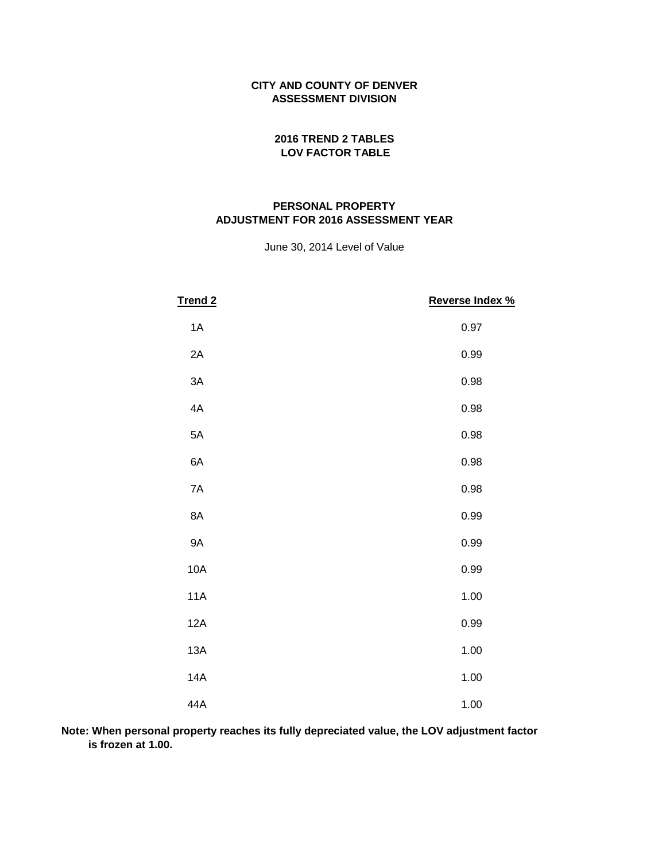### **CITY AND COUNTY OF DENVER ASSESSMENT DIVISION**

### **2016 TREND 2 TABLES LOV FACTOR TABLE**

### **PERSONAL PROPERTY ADJUSTMENT FOR 2016 ASSESSMENT YEAR**

June 30, 2014 Level of Value

| <u>Trend 2</u> | Reverse Index % |
|----------------|-----------------|
| 1A             | 0.97            |
| 2A             | 0.99            |
| 3A             | 0.98            |
| 4A             | 0.98            |
| $5A$           | 0.98            |
| 6A             | 0.98            |
| 7A             | 0.98            |
| 8A             | 0.99            |
| <b>9A</b>      | 0.99            |
| 10A            | 0.99            |
| <b>11A</b>     | 1.00            |
| 12A            | 0.99            |
| 13A            | 1.00            |
| 14A            | 1.00            |
| 44A            | 1.00            |

**Note: When personal property reaches its fully depreciated value, the LOV adjustment factor is frozen at 1.00.**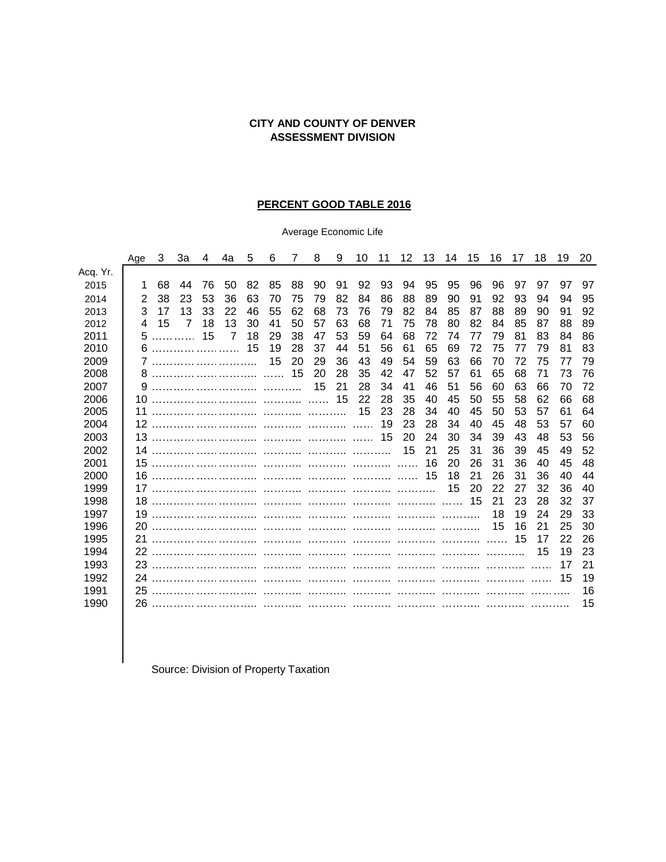### **CITY AND COUNTY OF DENVER ASSESSMENT DIVISION**

## **PERCENT GOOD TABLE 2016**

Average Economic Life

|          | Age | 3  | Зa             | 4  | 4a | 5  | 6  | 7  | 8  | 9  | 10 | 11 | 12 | 13 | 14 | 15 | 16 | 17 | 18 | 19 | 20 |
|----------|-----|----|----------------|----|----|----|----|----|----|----|----|----|----|----|----|----|----|----|----|----|----|
| Acq. Yr. |     |    |                |    |    |    |    |    |    |    |    |    |    |    |    |    |    |    |    |    |    |
| 2015     | 1   | 68 | 44             | 76 | 50 | 82 | 85 | 88 | 90 | 91 | 92 | 93 | 94 | 95 | 95 | 96 | 96 | 97 | 97 | 97 | 97 |
| 2014     | 2   | 38 | 23             | 53 | 36 | 63 | 70 | 75 | 79 | 82 | 84 | 86 | 88 | 89 | 90 | 91 | 92 | 93 | 94 | 94 | 95 |
| 2013     | 3   | 17 | 13             | 33 | 22 | 46 | 55 | 62 | 68 | 73 | 76 | 79 | 82 | 84 | 85 | 87 | 88 | 89 | 90 | 91 | 92 |
| 2012     | 4   | 15 | $\overline{7}$ | 18 | 13 | 30 | 41 | 50 | 57 | 63 | 68 | 71 | 75 | 78 | 80 | 82 | 84 | 85 | 87 | 88 | 89 |
| 2011     | 5   |    | .              | 15 | 7  | 18 | 29 | 38 | 47 | 53 | 59 | 64 | 68 | 72 | 74 | 77 | 79 | 81 | 83 | 84 | 86 |
| 2010     | 6   |    |                |    |    | 15 | 19 | 28 | 37 | 44 | 51 | 56 | 61 | 65 | 69 | 72 | 75 | 77 | 79 | 81 | 83 |
| 2009     |     |    |                |    |    |    | 15 | 20 | 29 | 36 | 43 | 49 | 54 | 59 | 63 | 66 | 70 | 72 | 75 | 77 | 79 |
| 2008     | 8   |    |                |    |    |    |    | 15 | 20 | 28 | 35 | 42 | 47 | 52 | 57 | 61 | 65 | 68 | 71 | 73 | 76 |
| 2007     | 9   |    |                |    |    |    |    |    | 15 | 21 | 28 | 34 | 41 | 46 | 51 | 56 | 60 | 63 | 66 | 70 | 72 |
| 2006     | 10  |    |                |    |    |    |    |    |    | 15 | 22 | 28 | 35 | 40 | 45 | 50 | 55 | 58 | 62 | 66 | 68 |
| 2005     | 11  |    |                |    |    |    |    |    |    |    | 15 | 23 | 28 | 34 | 40 | 45 | 50 | 53 | 57 | 61 | 64 |
| 2004     | 12  |    |                |    |    |    |    |    |    |    |    | 19 | 23 | 28 | 34 | 40 | 45 | 48 | 53 | 57 | 60 |
| 2003     | 13  |    |                |    |    |    |    |    |    |    |    | 15 | 20 | 24 | 30 | 34 | 39 | 43 | 48 | 53 | 56 |
| 2002     | 14  |    |                |    |    |    |    |    |    |    |    |    | 15 | 21 | 25 | 31 | 36 | 39 | 45 | 49 | 52 |
| 2001     | 15  |    |                |    |    |    |    |    |    |    |    |    |    | 16 | 20 | 26 | 31 | 36 | 40 | 45 | 48 |
| 2000     | 16  |    |                |    |    |    |    |    |    |    |    |    |    | 15 | 18 | 21 | 26 | 31 | 36 | 40 | 44 |
| 1999     | 17  |    |                |    |    |    |    |    |    |    |    |    |    |    | 15 | 20 | 22 | 27 | 32 | 36 | 40 |
| 1998     | 18  |    |                |    |    |    |    |    |    |    |    |    |    |    |    | 15 | 21 | 23 | 28 | 32 | 37 |
| 1997     | 19  |    |                |    |    |    |    |    |    |    |    |    |    |    |    |    | 18 | 19 | 24 | 29 | 33 |
| 1996     | 20  |    |                |    |    |    |    |    |    |    |    |    |    |    |    |    | 15 | 16 | 21 | 25 | 30 |
| 1995     | 21  |    |                |    |    |    |    |    |    |    |    |    |    |    |    |    |    | 15 | 17 | 22 | 26 |
| 1994     | 22  |    |                |    |    |    |    |    |    |    |    |    |    |    |    |    |    |    | 15 | 19 | 23 |
| 1993     | 23  |    |                |    |    |    |    |    |    |    |    |    |    |    |    |    |    |    |    | 17 | 21 |
| 1992     | 24  |    |                |    |    |    |    |    |    |    |    |    |    |    |    |    |    |    |    | 15 | 19 |
| 1991     | 25  |    |                |    |    |    |    |    |    |    |    |    |    |    |    |    |    |    |    |    | 16 |
| 1990     | 26  |    |                |    |    |    |    |    |    |    |    |    |    |    |    |    |    |    |    |    | 15 |
|          |     |    |                |    |    |    |    |    |    |    |    |    |    |    |    |    |    |    |    |    |    |

Source: Division of Property Taxation